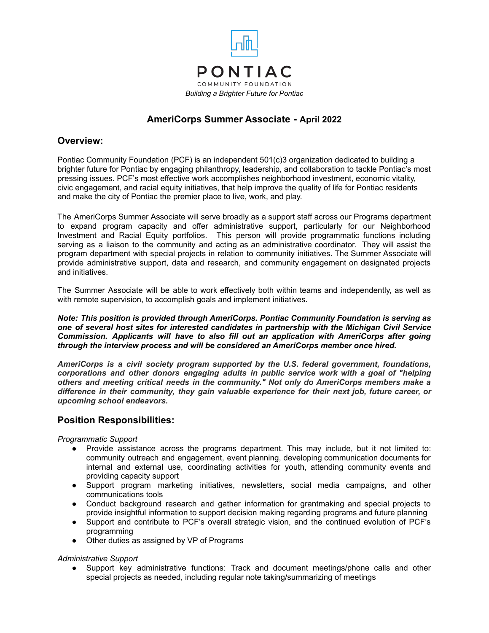

## **AmeriCorps Summer Associate - April 2022**

## **Overview:**

Pontiac Community Foundation (PCF) is an independent 501(c)3 organization dedicated to building a brighter future for Pontiac by engaging philanthropy, leadership, and collaboration to tackle Pontiac's most pressing issues. PCF's most effective work accomplishes neighborhood investment, economic vitality, civic engagement, and racial equity initiatives, that help improve the quality of life for Pontiac residents and make the city of Pontiac the premier place to live, work, and play.

The AmeriCorps Summer Associate will serve broadly as a support staff across our Programs department to expand program capacity and offer administrative support, particularly for our Neighborhood Investment and Racial Equity portfolios. This person will provide programmatic functions including serving as a liaison to the community and acting as an administrative coordinator. They will assist the program department with special projects in relation to community initiatives. The Summer Associate will provide administrative support, data and research, and community engagement on designated projects and initiatives.

The Summer Associate will be able to work effectively both within teams and independently, as well as with remote supervision, to accomplish goals and implement initiatives.

*Note: This position is provided through AmeriCorps. Pontiac Community Foundation is serving as one of several host sites for interested candidates in partnership with the Michigan Civil Service Commission. Applicants will have to also fill out an application with AmeriCorps after going through the interview process and will be considered an AmeriCorps member once hired.*

*AmeriCorps is a civil society program supported by the U.S. federal government, foundations, corporations and other donors engaging adults in public service work with a goal of "helping others and meeting critical needs in the community." Not only do AmeriCorps members make a difference in their community, they gain valuable experience for their next job, future career, or upcoming school endeavors.*

#### **Position Responsibilities:**

*Programmatic Support*

- Provide assistance across the programs department. This may include, but it not limited to: community outreach and engagement, event planning, developing communication documents for internal and external use, coordinating activities for youth, attending community events and providing capacity support
- Support program marketing initiatives, newsletters, social media campaigns, and other communications tools
- Conduct background research and gather information for grantmaking and special projects to provide insightful information to support decision making regarding programs and future planning
- Support and contribute to PCF's overall strategic vision, and the continued evolution of PCF's programming
- Other duties as assigned by VP of Programs

#### *Administrative Support*

● Support key administrative functions: Track and document meetings/phone calls and other special projects as needed, including regular note taking/summarizing of meetings